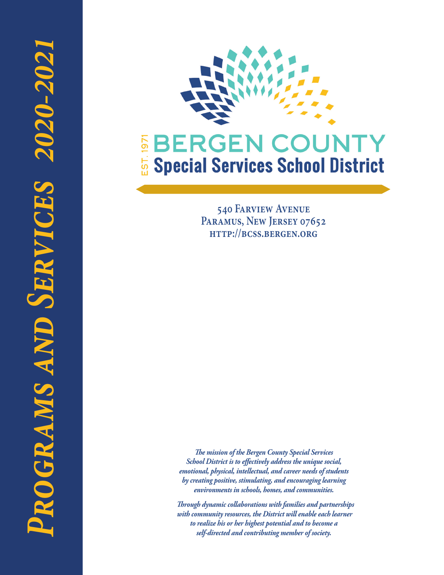

**540 Farview Avenue Paramus, New Jersey 07652 http://bcss.bergen.org**

*The mission of the Bergen County Special Services School District is to effectively address the unique social, emotional, physical, intellectual, and career needs of students by creating positive, stimulating, and encouraging learning environments in schools, homes, and communities.*

 *Through dynamic collaborations with families and partnerships with community resources, the District will enable each learner to realize his or her highest potential and to become a self-directed and contributing member of society.*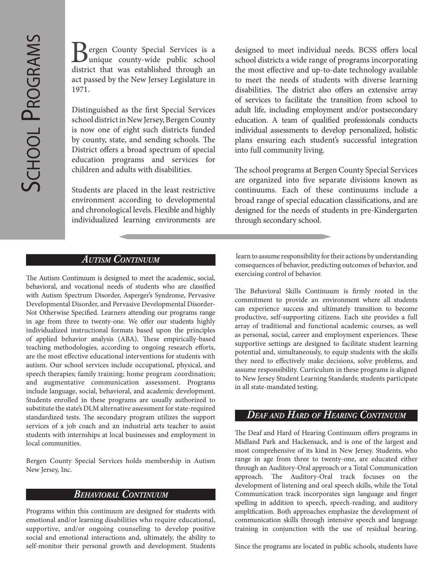**Z** ergen County Special Services is a unique county-wide public school district that was established through an act passed by the New Jersey Legislature in 1971.

Distinguished as the first Special Services school district in New Jersey, Bergen County is now one of eight such districts funded by county, state, and sending schools. The District offers a broad spectrum of special education programs and services for children and adults with disabilities.

Students are placed in the least restrictive environment according to developmental and chronological levels. Flexible and highly individualized learning environments are designed to meet individual needs. BCSS offers local school districts a wide range of programs incorporating the most effective and up-to-date technology available to meet the needs of students with diverse learning disabilities. The district also offers an extensive array of services to facilitate the transition from school to adult life, including employment and/or postsecondary education. A team of qualified professionals conducts individual assessments to develop personalized, holistic plans ensuring each student's successful integration into full community living.

The school programs at Bergen County Special Services are organized into five separate divisions known as continuums. Each of these continuums include a broad range of special education classifications, and are designed for the needs of students in pre-Kindergarten through secondary school.

The Autism Continuum is designed to meet the academic, social, behavioral, and vocational needs of students who are classified with Autism Spectrum Disorder, Asperger's Syndrome, Pervasive Developmental Disorder, and Pervasive Developmental Disorder-Not Otherwise Specified. Learners attending our programs range in age from three to twenty-one. We offer our students highly individualized instructional formats based upon the principles of applied behavior analysis (ABA). These empirically-based teaching methodologies, according to ongoing research efforts, are the most effective educational interventions for students with autism. Our school services include occupational, physical, and speech therapies; family training; home program coordination; and augmentative communication assessment. Programs include language, social, behavioral, and academic development. Students enrolled in these programs are usually authorized to substitute the state's DLM alternative assessment for state-required standardized tests. The secondary program utilizes the support services of a job coach and an industrial arts teacher to assist students with internships at local businesses and employment in local communities.

Bergen County Special Services holds membership in Autism New Jersey, Inc.

### *Behavioral Continuum*

Programs within this continuum are designed for students with emotional and/or learning disabilities who require educational, supportive, and/or ongoing counseling to develop positive social and emotional interactions and, ultimately, the ability to self-monitor their personal growth and development. Students

*Autism Continuum* learn to assume responsibility for their actions by understanding consequences of behavior, predicting outcomes of behavior, and exercising control of behavior.

> The Behavioral Skills Continuum is firmly rooted in the commitment to provide an environment where all students can experience success and ultimately transition to become productive, self-supporting citizens. Each site provides a full array of traditional and functional academic courses, as well as personal, social, career and employment experiences. These supportive settings are designed to facilitate student learning potential and, simultaneously, to equip students with the skills they need to effectively make decisions, solve problems, and assume responsibility. Curriculum in these programs is aligned to New Jersey Student Learning Standards; students participate in all state-mandated testing.

### *Deaf and Hard of Hearing Continuum*

The Deaf and Hard of Hearing Continuum offers programs in Midland Park and Hackensack, and is one of the largest and most comprehensive of its kind in New Jersey. Students, who range in age from three to twenty-one, are educated either through an Auditory-Oral approach or a Total Communication approach. The Auditory-Oral track focuses on the development of listening and oral speech skills, while the Total Communication track incorporates sign language and finger spelling in addition to speech, speech-reading, and auditory amplification. Both approaches emphasize the development of communication skills through intensive speech and language training in conjunction with the use of residual hearing.

Since the programs are located in public schools, students have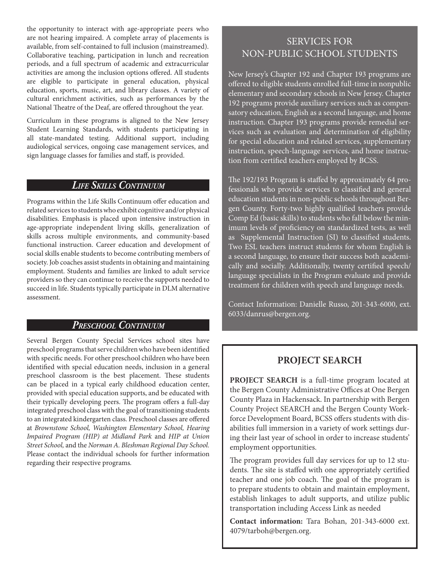the opportunity to interact with age-appropriate peers who are not hearing impaired. A complete array of placements is available, from self-contained to full inclusion (mainstreamed). Collaborative teaching, participation in lunch and recreation periods, and a full spectrum of academic and extracurricular activities are among the inclusion options offered. All students are eligible to participate in general education, physical education, sports, music, art, and library classes. A variety of cultural enrichment activities, such as performances by the National Theatre of the Deaf, are offered throughout the year.

Curriculum in these programs is aligned to the New Jersey Student Learning Standards, with students participating in all state-mandated testing. Additional support, including audiological services, ongoing case management services, and sign language classes for families and staff, is provided.

### *Life Skills Continuum*

Programs within the Life Skills Continuum offer education and related services to students who exhibit cognitive and/or physical disabilities. Emphasis is placed upon intensive instruction in age-appropriate independent living skills, generalization of skills across multiple environments, and community-based functional instruction. Career education and development of social skills enable students to become contributing members of society. Job coaches assist students in obtaining and maintaining employment. Students and families are linked to adult service providers so they can continue to receive the supports needed to succeed in life. Students typically participate in DLM alternative assessment.

### *Preschool Continuum*

Several Bergen County Special Services school sites have preschool programs that serve children who have been identified with specific needs. For other preschool children who have been identified with special education needs, inclusion in a general preschool classroom is the best placement. These students can be placed in a typical early childhood education center, provided with special education supports, and be educated with their typically developing peers. The program offers a full-day integrated preschool class with the goal of transitioning students to an integrated kindergarten class. Preschool classes are offered at *Brownstone School, Washington Elementary School, Hearing Impaired Program (HIP) at Midland Park* and *HIP at Union Street School,* and the *Norman A. Bleshman Regional Day School.*  Please contact the individual schools for further information regarding their respective programs*.*

### SERVICES FOR NON-PUBLIC SCHOOL STUDENTS

New Jersey's Chapter 192 and Chapter 193 programs are offered to eligible students enrolled full-time in nonpublic elementary and secondary schools in New Jersey. Chapter 192 programs provide auxiliary services such as compensatory education, English as a second language, and home instruction. Chapter 193 programs provide remedial services such as evaluation and determination of eligibility for special education and related services, supplementary instruction, speech-language services, and home instruction from certified teachers employed by BCSS.

The 192/193 Program is staffed by approximately 64 professionals who provide services to classified and general education students in non-public schools throughout Bergen County. Forty-two highly qualified teachers provide Comp Ed (basic skills) to students who fall below the minimum levels of proficiency on standardized tests, as well as Supplemental Instruction (SI) to classified students. Two ESL teachers instruct students for whom English is a second language, to ensure their success both academically and socially. Additionally, twenty certified speech/ language specialists in the Program evaluate and provide treatment for children with speech and language needs.

Contact Information: Danielle Russo, 201-343-6000, ext. 6033/danrus@bergen.org.

### **PROJECT SEARCH**

**PROJECT SEARCH** is a full-time program located at the Bergen County Administrative Offices at One Bergen County Plaza in Hackensack. In partnership with Bergen County Project SEARCH and the Bergen County Workforce Development Board, BCSS offers students with disabilities full immersion in a variety of work settings during their last year of school in order to increase students' employment opportunities.

The program provides full day services for up to 12 students. The site is staffed with one appropriately certified teacher and one job coach. The goal of the program is to prepare students to obtain and maintain employment, establish linkages to adult supports, and utilize public transportation including Access Link as needed

**Contact information:** Tara Bohan, 201-343-6000 ext. 4079/tarboh@bergen.org.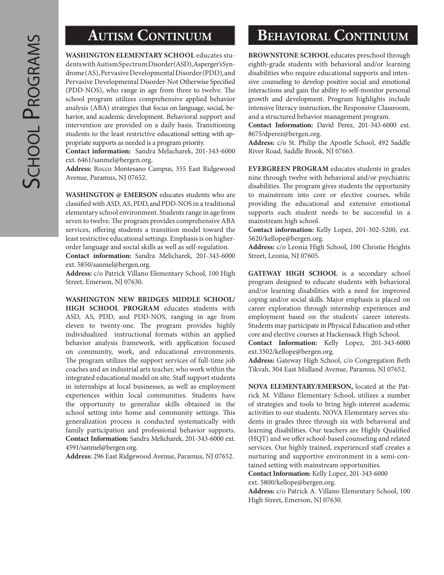**WASHINGTON ELEMENTARY SCHOOL** educates students with Autism Spectrum Disorder (ASD), Asperger's Syndrome (AS), Pervasive Developmental Disorder (PDD), and Pervasive Developmental Disorder-Not Otherwise Specified (PDD-NOS), who range in age from three to twelve. The school program utilizes comprehensive applied behavior analysis (ABA) strategies that focus on language, social, behavior, and academic development. Behavioral support and intervention are provided on a daily basis. Transitioning students to the least restrictive educational setting with appropriate supports as needed is a program priority.

**Contact information:** Sandra Melacharek, 201-343-6000 ext. 6461/sanmel@bergen.org.

**Address:** Rocco Montesano Campus, 355 East Ridgewood Avenue, Paramus, NJ 07652.

**WASHINGTON @ EMERSON** educates students who are classified with ASD, AS, PDD, and PDD-NOS in a traditional elementary school environment. Students range in age from seven to twelve. The program provides comprehensive ABA services, offering students a transition model toward the least restrictive educational settings. Emphasis is on higherorder language and social skills as well as self-regulation.

**Contact information:** Sandra Melicharek, 201-343-6000 ext. 5850/sanmel@bergen.org.

**Address:** c/o Patrick Villano Elementary School, 100 High Street, Emerson, NJ 07630.

**WASHINGTON NEW BRIDGES MIDDLE SCHOOL/ HIGH SCHOOL PROGRAM** educates students with ASD, AS, PDD, and PDD-NOS, ranging in age from eleven to twenty-one. The program provides highly individualized instructional formats within an applied behavior analysis framework, with application focused on community, work, and educational environments. The program utilizes the support services of full-time job coaches and an industrial arts teacher, who work within the integrated educational model on site. Staff support students in internships at local businesses, as well as employment experiences within local communities. Students have the opportunity to generalize skills obtained in the school setting into home and community settings. This generalization process is conducted systematically with family participation and professional behavior supports. **Contact Information:** Sandra Melicharek, 201-343-6000 ext. 4591/sanmel@bergen.org.

**Address:** 296 East Ridgewood Avenue, Paramus, NJ 07652.

# **AUTISM CONTINUUM BEHAVIORAL CONTINUUM**

**BROWNSTONE SCHOOL** educates preschool through eighth-grade students with behavioral and/or learning disabilities who require educational supports and intensive counseling to develop positive social and emotional interactions and gain the ability to self-monitor personal growth and development. Program highlights include intensive literacy instruction, the Responsive Classroom, and a structured behavior management program.

**Contact Information:** David Perez, 201-343-6000 ext. 8675/dperez@bergen.org.

**Address:** c/o St. Philip the Apostle School, 492 Saddle River Road, Saddle Brook, NJ 07663.

**EVERGREEN PROGRAM** educates students in grades nine through twelve with behavioral and/or psychiatric disabilities. The program gives students the opportunity to mainstream into core or elective courses, while providing the educational and extensive emotional supports each student needs to be successful in a mainstream high school.

**Contact information:** Kelly Lopez, 201-302-5200, ext. 5620/kellope@bergen.org.

**Address:** c/o Leonia High School, 100 Christie Heights Street, Leonia, NJ 07605.

**GATEWAY HIGH SCHOOL** is a secondary school program designed to educate students with behavioral and/or learning disabilities with a need for improved coping and/or social skills. Major emphasis is placed on career exploration through internship experiences and employment based on the students' career interests. Students may participate in Physical Education and other core and elective courses at Hackensack High School.

**Contact Information:** Kelly Lopez, 201-343-6000 ext.3502/kellope@bergen.org.

**Address:** Gateway High School, c/o Congregation Beth Tikvah, 304 East Midland Avenue, Paramus, NJ 07652.

**NOVA ELEMENTARY/EMERSON,** located at the Patrick M. Villano Elementary School, utilizes a number of strategies and tools to bring high-interest academic activities to our students. NOVA Elementary serves students in grades three through six with behavioral and learning disabilities. Our teachers are Highly Qualified (HQT) and we offer school-based counseling and related services. Our highly trained, experienced staff creates a nurturing and supportive environment in a semi-contained setting with mainstream opportunities.

**Contact Information:** Kelly Lopez, 201-343-6000 ext. 5800/kellope@bergen.org.

**Address:** c/o Patrick A. Villano Elementary School, 100 High Street, Emerson, NJ 07630.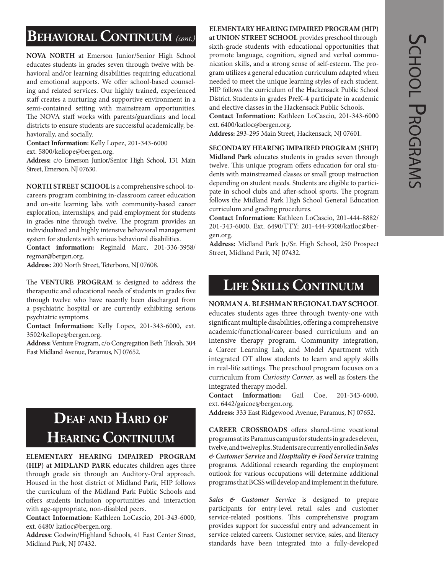# **Behavioral Continuum** *(cont.)*

**NOVA NORTH** at Emerson Junior/Senior High School educates students in grades seven through twelve with behavioral and/or learning disabilities requiring educational and emotional supports. We offer school-based counseling and related services. Our highly trained, experienced staff creates a nurturing and supportive environment in a semi-contained setting with mainstream opportunities. The NOVA staff works with parents/guardians and local districts to ensure students are successful academically, behaviorally, and socially.

**Contact Information:** Kelly Lopez, 201-343-6000

ext. 5800/kellope@bergen.org.

**Address:** c/o Emerson Junior/Senior High School, 131 Main Street, Emerson, NJ 07630.

**NORTH STREET SCHOOL** is a comprehensive school-tocareers program combining in-classroom career education and on-site learning labs with community-based career exploration, internships, and paid employment for students in grades nine through twelve. The program provides an individualized and highly intensive behavioral management system for students with serious behavioral disabilities.

**Contact information:** Reginald Marc, 201-336-3958/ regmar@bergen.org.

**Address:** 200 North Street, Teterboro, NJ 07608.

The **VENTURE PROGRAM** is designed to address the therapeutic and educational needs of students in grades five through twelve who have recently been discharged from a psychiatric hospital or are currently exhibiting serious psychiatric symptoms.

**Contact Information:** Kelly Lopez, 201-343-6000, ext. 3502/kellope@bergen.org.

**Address:** Venture Program, c/o Congregation Beth Tikvah, 304 East Midland Avenue, Paramus, NJ 07652.

# **Deaf and Hard of Hearing Continuum**

### **ELEMENTARY HEARING IMPAIRED PROGRAM (HIP) at MIDLAND PARK** educates children ages three through grade six through an Auditory-Oral approach. Housed in the host district of Midland Park, HIP follows the curriculum of the Midland Park Public Schools and offers students inclusion opportunities and interaction with age-appropriate, non-disabled peers.

**Contact Information:** Kathleen LoCascio, 201-343-6000, ext. 6480/ katloc@bergen.org.

**Address:** Godwin/Highland Schools, 41 East Center Street, Midland Park, NJ 07432.

### **ELEMENTARY HEARING IMPAIRED PROGRAM (HIP)**

**at UNION STREET SCHOOL** provides preschool through sixth-grade students with educational opportunities that promote language, cognition, signed and verbal communication skills, and a strong sense of self-esteem. The program utilizes a general education curriculum adapted when needed to meet the unique learning styles of each student. HIP follows the curriculum of the Hackensack Public School District. Students in grades PreK-4 participate in academic and elective classes in the Hackensack Public Schools.

**Contact Information:** Kathleen LoCascio, 201-343-6000 ext. 6400/katloc@bergen.org.

**Address:** 293-295 Main Street, Hackensack, NJ 07601.

### **SECONDARY HEARING IMPAIRED PROGRAM (SHIP)**

**Midland Park** educates students in grades seven through twelve. This unique program offers education for oral students with mainstreamed classes or small group instruction depending on student needs. Students are eligible to participate in school clubs and after-school sports. The program follows the Midland Park High School General Education curriculum and grading procedures.

**Contact Information:** Kathleen LoCascio, 201-444-8882/ 201-343-6000, Ext. 6490/TTY: 201-444-9308/katloc@bergen.org.

**Address:** Midland Park Jr./Sr. High School, 250 Prospect Street, Midland Park, NJ 07432.

# **Life Skills Continuum**

### **NORMAN A. BLESHMAN REGIONAL DAY SCHOOL**

educates students ages three through twenty-one with significant multiple disabilities, offering a comprehensive academic/functional/career-based curriculum and an intensive therapy program. Community integration, a Career Learning Lab, and Model Apartment with integrated OT allow students to learn and apply skills in real-life settings. The preschool program focuses on a curriculum from *Curiosity Corner,* as well as fosters the integrated therapy model.

**Contact Information:** Gail Coe, 201-343-6000, ext. 6442/gaicoe@bergen.org.

**Address:** 333 East Ridgewood Avenue, Paramus, NJ 07652.

**CAREER CROSSROADS** offers shared-time vocational programs at its Paramus campus for students in grades eleven, twelve, and twelve plus. Students are currently enrolled in *Sales & Customer Service* and *Hospitality & Food Service* training programs. Additional research regarding the employment outlook for various occupations will determine additional programs that BCSS will develop and implement in the future.

*Sales & Customer Service* is designed to prepare participants for entry-level retail sales and customer service-related positions. This comprehensive program provides support for successful entry and advancement in service-related careers. Customer service, sales, and literacy standards have been integrated into a fully-developed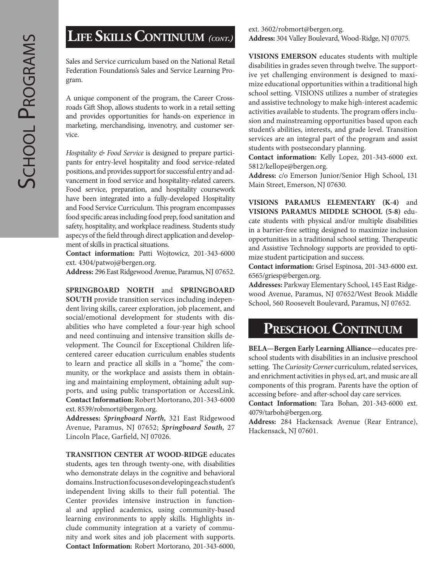# **Life SkillsContinuum** *(cont.)*

Sales and Service curriculum based on the National Retail Federation Foundations's Sales and Service Learning Program.

A unique component of the program, the Career Crossroads Gift Shop, allows students to work in a retail setting and provides opportunities for hands-on experience in marketing, merchandising, invenotry, and customer service.

*Hospitality & Food Service* is designed to prepare participants for entry-level hospitality and food service-related positions, and provides support for successful entry and advancement in food service and hospitality-related careers. Food service, preparation, and hospitality coursework have been integrated into a fully-developed Hospitality and Food Service Curriculum. This program encompasses food specific areas including food prep, food sanitation and safety, hospitality, and workplace readiness. Students study aspecys of the field through direct application and development of skills in practical situations.

**Contact information:** Patti Wojtowicz, 201-343-6000 ext. 4304/patwoj@bergen.org.

**Address:** 296 East Ridgewood Avenue, Paramus, NJ 07652.

**SPRINGBOARD NORTH** and **SPRINGBOARD SOUTH** provide transition services including independent living skills, career exploration, job placement, and social/emotional development for students with disabilities who have completed a four-year high school and need continuing and intensive transition skills development. The Council for Exceptional Children lifecentered career education curriculum enables students to learn and practice all skills in a "home," the community, or the workplace and assists them in obtaining and maintaining employment, obtaining adult supports, and using public transportation or AccessLink. **Contact Information:** Robert Mortorano, 201-343-6000 ext. 8539/robmort@bergen.org.

**Addresses:** *Springboard North,* 321 East Ridgewood Avenue, Paramus, NJ 07652; *Springboard South,* 27 Lincoln Place, Garfield, NJ 07026.

**TRANSITION CENTER AT WOOD-RIDGE** educates students, ages ten through twenty-one, with disabilities who demonstrate delays in the cognitive and behavioral domains. Instruction focuses on developing each student's independent living skills to their full potential. The Center provides intensive instruction in functional and applied academics, using community-based learning environments to apply skills. Highlights include community integration at a variety of community and work sites and job placement with supports. **Contact Information:** Robert Mortorano, 201-343-6000, ext. 3602/robmort@bergen.org. **Address:** 304 Valley Boulevard, Wood-Ridge, NJ 07075.

**VISIONS EMERSON** educates students with multiple disabilities in grades seven through twelve. The supportive yet challenging environment is designed to maximize educational opportunities within a traditional high school setting. VISIONS utilizes a number of strategies and assistive technology to make high-interest academic activities available to students. The program offers inclusion and mainstreaming opportunities based upon each student's abilities, interests, and grade level. Transition services are an integral part of the program and assist students with postsecondary planning.

**Contact information:** Kelly Lopez, 201-343-6000 ext. 5812/kellope@bergen.org.

**Address:** c/o Emerson Junior/Senior High School, 131 Main Street, Emerson, NJ 07630.

**VISIONS PARAMUS ELEMENTARY (K-4)** and **VISIONS PARAMUS MIDDLE SCHOOL (5-8)** educate students with physical and/or multiple disabilities in a barrier-free setting designed to maximize inclusion opportunities in a traditional school setting. Therapeutic and Assistive Technology supports are provided to optimize student participation and success.

**Contact information:** Grisel Espinosa, 201-343-6000 ext. 6565/griesp@bergen.org.

**Addresses:** Parkway Elementary School, 145 East Ridgewood Avenue, Paramus, NJ 07652/West Brook Middle School, 560 Roosevelt Boulevard, Paramus, NJ 07652.

### PRESCHOOL CONTINUUM

**BELA—Bergen Early Learning Alliance—**educates preschool students with disabilities in an inclusive preschool setting. The *Curiosity Corner* curriculum, related services, and enrichment activities in phys ed, art, and music are all components of this program. Parents have the option of accessing before- and after-school day care services.

**Contact Information:** Tara Bohan, 201-343-6000 ext. 4079/tarboh@bergen.org.

**Address:** 284 Hackensack Avenue (Rear Entrance), Hackensack, NJ 07601.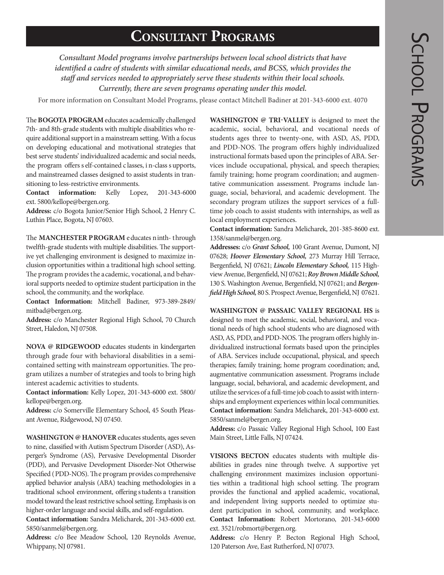# **Consultant Programs**

*Consultant Model programs involve partnerships between local school districts that have identified a cadre of students with similar educational needs, and BCSS, which provides the staff and services needed to appropriately serve these students within their local schools. Currently, there are seven programs operating under this model.*

For more information on Consultant Model Programs, please contact Mitchell Badiner at 201-343-6000 ext. 4070

The **BOGOTA PROGRAM** educates academically challenged 7th- and 8th-grade students with multiple disabilities who require additional support in a mainstream setting. With a focus on developing educational and motivational strategies that best serve students' individualized academic and social needs, the program offers s elf-contained c lasses, i n-class s upports, and mainstreamed classes designed to assist students in transitioning to less-restrictive environments.

**Contact information:** Kelly Lopez, 201-343-6000 ext. 5800/kellope@bergen.org.

**Address:** c/o Bogota Junior/Senior High School, 2 Henry C. Luthin Place, Bogota, NJ 07603.

The **MANCHESTER PROGRAM** educates ninth- through twelfth-grade students with multiple disabilities. The supportive yet challenging environment is designed to maximize inclusion opportunities within a traditional high school setting. The program provides the academic, vocational, and behavioral supports needed to optimize student participation in the school, the community, and the workplace.

**Contact Information:** Mitchell Badiner, 973-389-2849/ mitbad@bergen.org.

**Address:** c/o Manchester Regional High School, 70 Church Street, Haledon, NJ 07508.

**NOVA @ RIDGEWOOD** educates students in kindergarten through grade four with behavioral disabilities in a semicontained setting with mainstream opportunities. The program utilizes a number of strategies and tools to bring high interest academic activities to students.

**Contact information:** Kelly Lopez, 201-343-6000 ext. 5800/ kellope@bergen.org.

**Address:** c/o Somerville Elementary School, 45 South Pleasant Avenue, Ridgewood, NJ 07450.

**WASHINGTON @ HANOVER** educates students, ages seven to nine, classified with Autism Spectrum Disorder (ASD), Asperger's Syndrome (AS), Pervasive Developmental Disorder (PDD), and Pervasive Development Disorder-Not Otherwise Specified (PDD-NOS). The program provides comprehensive applied behavior analysis (ABA) teaching methodologies in a traditional school environment, offering students a transition model toward the least restrictive school setting. Emphasis is on higher-order language and social skills, and self-regulation.

**Contact information:** Sandra Melicharek, 201-343-6000 ext. 5850/sanmel@bergen.org.

**Address:** c/o Bee Meadow School, 120 Reynolds Avenue, Whippany, NJ 07981.

**WASHINGTON @ TRI-VALLEY** is designed to meet the academic, social, behavioral, and vocational needs of students ages three to twenty-one, with ASD, AS, PDD, and PDD-NOS. The program offers highly individualized instructional formats based upon the principles of ABA. Services include occupational, physical, and speech therapies; family training; home program coordination; and augmentative communication assessment. Programs include language, social, behavioral, and academic development. The secondary program utilizes the support services of a fulltime job coach to assist students with internships, as well as local employment experiences.

**Contact information:** Sandra Melicharek, 201-385-8600 ext. 1358/sanmel@bergen.org.

**Addresses:** c/o *Grant School,* 100 Grant Avenue, Dumont, NJ 07628; *Hoover Elementary School,* 273 Murray Hill Terrace, Bergenfield, NJ 07621; *Lincoln Elementary School,* 115 Highview Avenue, Bergenfield, NJ 07621; *Roy Brown Middle School,* 130 S. Washington Avenue, Bergenfield, NJ 07621; and *Bergenfield High School,* 80 S. Prospect Avenue, Bergenfield, NJ 07621.

WASHINGTON @ PASSAIC VALLEY REGIONAL HS is designed to meet the academic, social, behavioral, and vocational needs of high school students who are diagnosed with ASD, AS, PDD, and PDD-NOS. The program offers highly individualized instructional formats based upon the principles of ABA. Services include occupational, physical, and speech therapies; family training; home program coordination; and, augmentative communication assessment. Programs include language, social, behavioral, and academic development, and utilize the services of a full-time job coach to assist with internships and employment experiences within local communities. **Contact information:** Sandra Melicharek, 201-343-6000 ext. 5850/sanmel@bergen.org.

**Address:** c/o Passaic Valley Regional High School, 100 East Main Street, Little Falls, NJ 07424.

**VISIONS BECTON** educates students with multiple disabilities in grades nine through twelve. A supportive yet challenging environment maximizes inclusion opportunities within a traditional high school setting. The program provides the functional and applied academic, vocational, and independent living supports needed to optimize student participation in school, community, and workplace. **Contact Information:** Robert Mortorano, 201-343-6000 ext. 3521/robmort@bergen.org.

**Address:** c/o Henry P. Becton Regional High School, 120 Paterson Ave, East Rutherford, NJ 07073.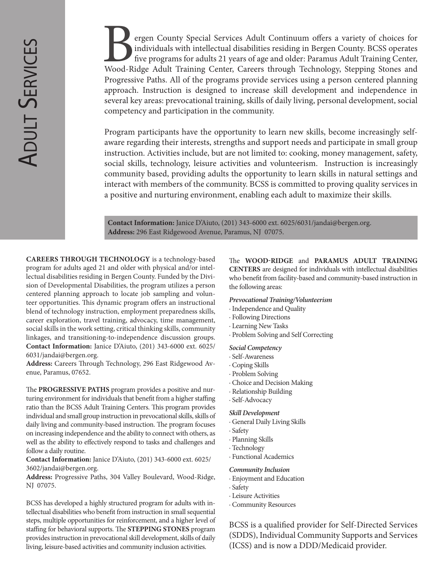ergen County Special Services Adult Continuum offers a variety of choices for individuals with intellectual disabilities residing in Bergen County. BCSS operates five programs for adults 21 years of age and older: Paramus individuals with intellectual disabilities residing in Bergen County. BCSS operates five programs for adults 21 years of age and older: Paramus Adult Training Center, Wood-Ridge Adult Training Center, Careers through Technology, Stepping Stones and Progressive Paths. All of the programs provide services using a person centered planning approach. Instruction is designed to increase skill development and independence in several key areas: prevocational training, skills of daily living, personal development, social competency and participation in the community.

Program participants have the opportunity to learn new skills, become increasingly selfaware regarding their interests, strengths and support needs and participate in small group instruction. Activities include, but are not limited to: cooking, money management, safety, social skills, technology, leisure activities and volunteerism. Instruction is increasingly community based, providing adults the opportunity to learn skills in natural settings and interact with members of the community. BCSS is committed to proving quality services in a positive and nurturing environment, enabling each adult to maximize their skills.

**Contact Information:** Janice D'Aiuto, (201) 343-6000 ext. 6025/6031/jandai@bergen.org. **Address:** 296 East Ridgewood Avenue, Paramus, NJ 07075.

**CAREERS THROUGH TECHNOLOGY** is a technology-based program for adults aged 21 and older with physical and/or intellectual disabilities residing in Bergen County. Funded by the Division of Developmental Disabilities, the program utilizes a person centered planning approach to locate job sampling and volunteer opportunities. This dynamic program offers an instructional blend of technology instruction, employment preparedness skills, career exploration, travel training, advocacy, time management, social skills in the work setting, critical thinking skills, community linkages, and transitioning-to-independence discussion groups. **Contact Information:** Janice D'Aiuto, (201) 343-6000 ext. 6025/ 6031/jandai@bergen.org.

**Address:** Careers Through Technology, 296 East Ridgewood Avenue, Paramus, 07652.

The **PROGRESSIVE PATHS** program provides a positive and nurturing environment for individuals that benefit from a higher staffing ratio than the BCSS Adult Training Centers. This program provides individual and small group instruction in prevocational skills, skills of daily living and community-based instruction. The program focuses on increasing independence and the ability to connect with others, as well as the ability to effectively respond to tasks and challenges and follow a daily routine.

**Contact Information:** Janice D'Aiuto, (201) 343-6000 ext. 6025/ 3602/jandai@bergen.org.

**Address:** Progressive Paths, 304 Valley Boulevard, Wood-Ridge, NJ 07075.

BCSS has developed a highly structured program for adults with intellectual disabilities who benefit from instruction in small sequential steps, multiple opportunities for reinforcement, and a higher level of staffing for behavioral supports. The **STEPPING STONES** program provides instruction in prevocational skill development, skills of daily living, leisure-based activities and community inclusion activities.

The **WOOD-RIDGE** and **PARAMUS ADULT TRAINING CENTERS** are designed for individuals with intellectual disabilities who benefit from facility-based and community-based instruction in the following areas:

#### *Prevocational Training/Volunteerism*

- · Independence and Quality
- · Following Directions
- · Learning New Tasks
- · Problem Solving and Self Correcting

#### *Social Competency*

- · Self-Awareness
- · Coping Skills
- · Problem Solving
- · Choice and Decision Making
- · Relationship Building
- · Self-Advocacy

#### *Skill Development*

- · General Daily Living Skills
- · Safety
	- · Planning Skills
- · Technology
- · Functional Academics

#### *Community Inclusion*

- · Enjoyment and Education
- · Safety
- · Leisure Activities
- · Community Resources

BCSS is a qualified provider for Self-Directed Services (SDDS), Individual Community Supports and Services (ICSS) and is now a DDD/Medicaid provider.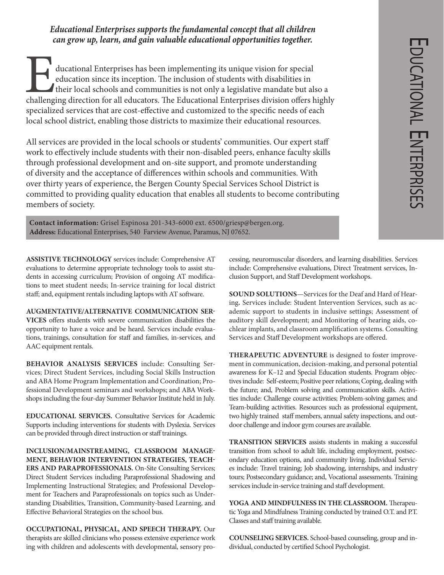ducational Enterprises has been implementing its unique vision for special education since its inception. The inclusion of students with disabilities in their local schools and communities is not only a legislative mandate education since its inception. The inclusion of students with disabilities in their local schools and communities is not only a legislative mandate but also a challenging direction for all educators. The Educational Enterprises division offers highly specialized services that are cost-effective and customized to the specific needs of each local school district, enabling those districts to maximize their educational resources.

All services are provided in the local schools or students' communities. Our expert staff work to effectively include students with their non-disabled peers, enhance faculty skills through professional development and on-site support, and promote understanding of diversity and the acceptance of differences within schools and communities. With over thirty years of experience, the Bergen County Special Services School District is committed to providing quality education that enables all students to become contributing members of society.

**Contact information:** Grisel Espinosa 201-343-6000 ext. 6500/griesp@bergen.org. **Address:** Educational Enterprises, 540 Farview Avenue, Paramus, NJ 07652.

**ASSISTIVE TECHNOLOGY** services include: Comprehensive AT evaluations to determine appropriate technology tools to assist students in accessing curriculum; Provision of ongoing AT modifications to meet student needs; In-service training for local district staff; and, equipment rentals including laptops with AT software.

**AUGMENTATIVE/ALTERNATIVE COMMUNICATION SER-VICES** offers students with severe communication disabilities the opportunity to have a voice and be heard. Services include evaluations, trainings, consultation for staff and families, in-services, and AAC equipment rentals.

**BEHAVIOR ANALYSIS SERVICES** include: Consulting Services; Direct Student Services, including Social Skills Instruction and ABA Home Program Implementation and Coordination; Professional Development seminars and workshops; and ABA Workshops including the four-day Summer Behavior Institute held in July.

**EDUCATIONAL SERVICES.** Consultative Services for Academic Supports including interventions for students with Dyslexia. Services can be provided through direct instruction or staff trainings.

**INCLUSION/MAINSTREAMING, CLASSROOM MANAGE-MENT, BEHAVIOR INTERVENTION STRATEGIES, TEACH-ERS AND PARAPROFESSIONALS.** On-Site Consulting Services; Direct Student Services including Paraprofessional Shadowing and Implementing Instructional Strategies; and Professional Development for Teachers and Paraprofessionals on topics such as Understanding Disabilities, Transition, Community-based Learning, and Effective Behavioral Strategies on the school bus.

**OCCUPATIONAL, PHYSICAL, AND SPEECH THERAPY.** Our therapists are skilled clinicians who possess extensive experience work ing with children and adolescents with developmental, sensory processing, neuromuscular disorders, and learning disabilities. Services include: Comprehensive evaluations, Direct Treatment services, Inclusion Support, and Staff Development workshops.

**SOUND SOLUTIONS**—Services for the Deaf and Hard of Hearing**.** Services include: Student Intervention Services, such as academic support to students in inclusive settings; Assessment of auditory skill development; and Monitoring of hearing aids, cochlear implants, and classroom amplification systems. Consulting Services and Staff Development workshops are offered.

**THERAPEUTIC ADVENTURE** is designed to foster improvement in communication, decision-making, and personal potential awareness for K–12 and Special Education students. Program objectives include: Self-esteem; Positive peer relations; Coping, dealing with the future; and, Problem solving and communication skills. Activities include: Challenge course activities; Problem-solving games; and Team-building activities. Resources such as professional equipment, two highly trained staff members, annual safety inspections, and outdoor challenge and indoor gym courses are available.

**TRANSITION SERVICES** assists students in making a successful transition from school to adult life, including employment, postsecondary education options, and community living. Individual Services include: Travel training; Job shadowing, internships, and industry tours; Postsecondary guidance; and, Vocational assessments. Training services include in-service training and staff development.

**YOGA AND MINDFULNESS IN THE CLASSROOM.** Therapeutic Yoga and Mindfulness Training conducted by trained O.T. and P.T. Classes and staff training available.

**COUNSELING SERVICES.** School-based counseling, group and individual, conducted by certified School Psychologist.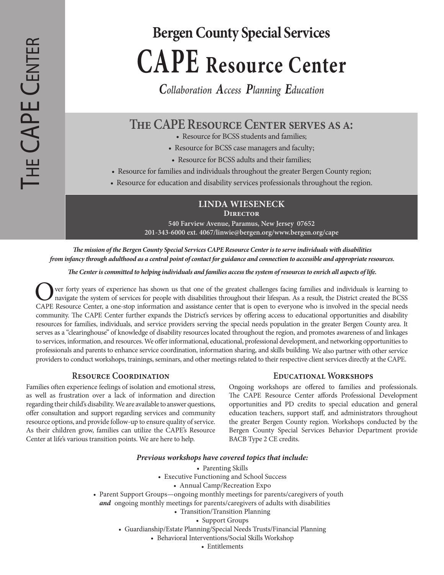# **Bergen County Special Services CAPE Resource Center**

*Collaboration Access Planning Education*

### **The CAPE Resource Center serves as a:**

- Resource for BCSS students and families;
- Resource for BCSS case managers and faculty;
- Resource for BCSS adults and their families;
- Resource for families and individuals throughout the greater Bergen County region;
- Resource for education and disability services professionals throughout the region.

**LINDA WIESENECK Director**

**540 Farview Avenue, Paramus, New Jersey 07652 201-343-6000 ext. 4067/linwie@bergen.org/www.bergen.org/cape**

*The mission of the Bergen County Special Services CAPE Resource Center is to serve individuals with disabilities from infancy through adulthood as a central point of contact for guidance and connection to accessible and appropriate resources.* 

*The Center is committed to helping individuals and families access the system of resources to enrich all aspects of life.*

The very forty years of experience has shown us that one of the greatest challenges facing families and individuals is learning to navigate the system of services for people with disabilities throughout their lifespan. As CAPE Resource Center, a one-stop information and assistance center that is open to everyone who is involved in the special needs community. The CAPE Center further expands the District's services by offering access to educational opportunities and disability resources for families, individuals, and service providers serving the special needs population in the greater Bergen County area. It serves as a "clearinghouse" of knowledge of disability resources located throughout the region, and promotes awareness of and linkages to services, information, and resources. We offer informational, educational, professional development, and networking opportunities to professionals and parents to enhance service coordination, information sharing, and skills building. We also partner with other service providers to conduct workshops, trainings, seminars, and other meetings related to their respective client services directly at the CAPE.

### **Resource Coordination**

Families often experience feelings of isolation and emotional stress, as well as frustration over a lack of information and direction regarding their child's disability. We are available to answer questions, offer consultation and support regarding services and community resource options, and provide follow-up to ensure quality of service. As their children grow, families can utilize the CAPE's Resource Center at life's various transition points. We are here to help.

### **Educational Workshops**

Ongoing workshops are offered to families and professionals. The CAPE Resource Center affords Professional Development opportunities and PD credits to special education and general education teachers, support staff, and administrators throughout the greater Bergen County region. Workshops conducted by the Bergen County Special Services Behavior Department provide BACB Type 2 CE credits.

### *Previous workshops have covered topics that include:*

- Parenting Skills
- Executive Functioning and School Success
	- Annual Camp/Recreation Expo
- Parent Support Groups—ongoing monthly meetings for parents/caregivers of youth
	- *and* ongoing monthly meetings for parents/caregivers of adults with disabilities
		- Transition/Transition Planning
			- Support Groups
		- Guardianship/Estate Planning/Special Needs Trusts/Financial Planning
			- Behavioral Interventions/Social Skills Workshop

• Entitlements